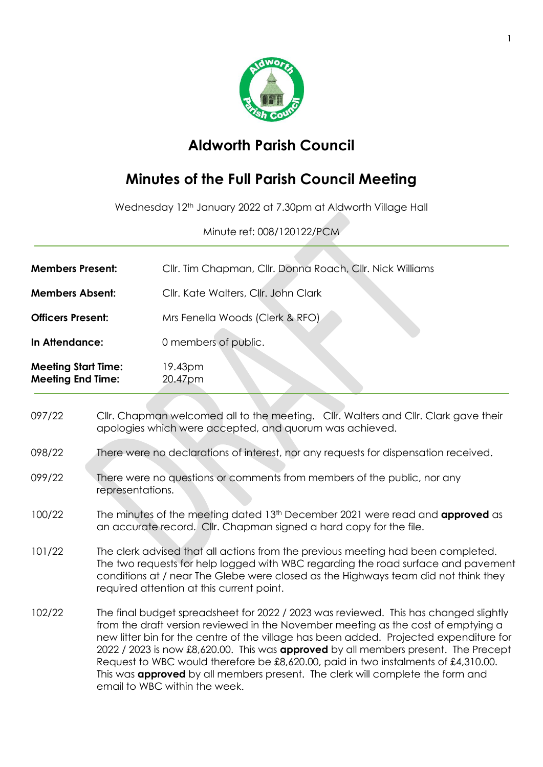

## **Aldworth Parish Council**

## **Minutes of the Full Parish Council Meeting**

Wednesday 12th January 2022 at 7.30pm at Aldworth Village Hall

Minute ref: 008/120122/PCM

| <b>Meeting Start Time:</b><br><b>Meeting End Time:</b> | 19.43pm<br>20.47pm                                        |
|--------------------------------------------------------|-----------------------------------------------------------|
| In Attendance:                                         | 0 members of public.                                      |
| <b>Officers Present:</b>                               | Mrs Fenella Woods (Clerk & RFO)                           |
| <b>Members Absent:</b>                                 | Cllr. Kate Walters, Cllr. John Clark                      |
| <b>Members Present:</b>                                | Cllr. Tim Chapman, Cllr. Donna Roach, Cllr. Nick Williams |

097/22 Cllr. Chapman welcomed all to the meeting. Cllr. Walters and Cllr. Clark gave their apologies which were accepted, and quorum was achieved. 098/22 There were no declarations of interest, nor any requests for dispensation received. 099/22 There were no questions or comments from members of the public, nor any representations. 100/22 The minutes of the meeting dated 13th December 2021 were read and **approved** as an accurate record. Cllr. Chapman signed a hard copy for the file. 101/22 The clerk advised that all actions from the previous meeting had been completed. The two requests for help logged with WBC regarding the road surface and pavement conditions at / near The Glebe were closed as the Highways team did not think they required attention at this current point. 102/22 The final budget spreadsheet for 2022 / 2023 was reviewed. This has changed slightly from the draft version reviewed in the November meeting as the cost of emptying a new litter bin for the centre of the village has been added. Projected expenditure for 2022 / 2023 is now £8,620.00. This was **approved** by all members present. The Precept Request to WBC would therefore be £8,620.00, paid in two instalments of £4,310.00. This was **approved** by all members present. The clerk will complete the form and email to WBC within the week.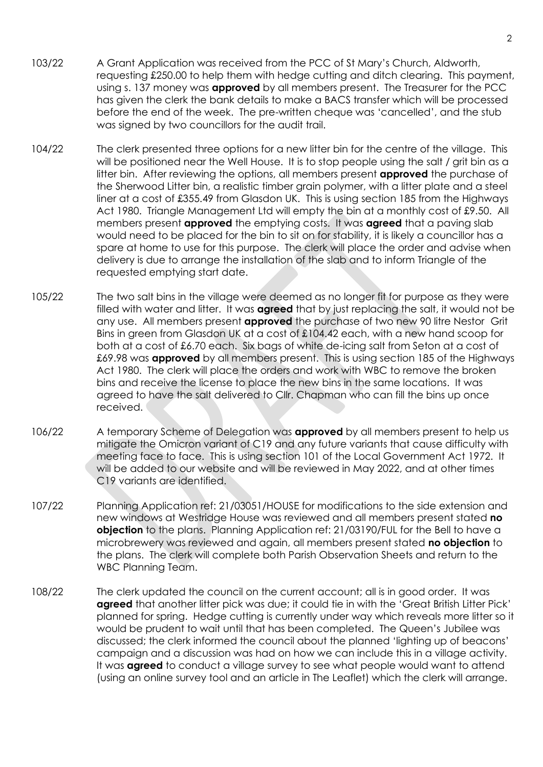- 103/22 A Grant Application was received from the PCC of St Mary's Church, Aldworth, requesting £250.00 to help them with hedge cutting and ditch clearing. This payment, using s. 137 money was **approved** by all members present. The Treasurer for the PCC has given the clerk the bank details to make a BACS transfer which will be processed before the end of the week. The pre-written cheque was 'cancelled', and the stub was signed by two councillors for the audit trail.
- 104/22 The clerk presented three options for a new litter bin for the centre of the village. This will be positioned near the Well House. It is to stop people using the salt / grit bin as a litter bin. After reviewing the options, all members present **approved** the purchase of the Sherwood Litter bin, a realistic timber grain polymer, with a litter plate and a steel liner at a cost of £355.49 from Glasdon UK. This is using section 185 from the Highways Act 1980. Triangle Management Ltd will empty the bin at a monthly cost of £9.50. All members present **approved** the emptying costs. It was **agreed** that a paving slab would need to be placed for the bin to sit on for stability, it is likely a councillor has a spare at home to use for this purpose. The clerk will place the order and advise when delivery is due to arrange the installation of the slab and to inform Triangle of the requested emptying start date.
- 105/22 The two salt bins in the village were deemed as no longer fit for purpose as they were filled with water and litter. It was **agreed** that by just replacing the salt, it would not be any use. All members present **approved** the purchase of two new 90 litre Nestor Grit Bins in green from Glasdon UK at a cost of £104.42 each, with a new hand scoop for both at a cost of £6.70 each. Six bags of white de-icing salt from Seton at a cost of £69.98 was **approved** by all members present. This is using section 185 of the Highways Act 1980. The clerk will place the orders and work with WBC to remove the broken bins and receive the license to place the new bins in the same locations. It was agreed to have the salt delivered to Cllr. Chapman who can fill the bins up once received.
- 106/22 A temporary Scheme of Delegation was **approved** by all members present to help us mitigate the Omicron variant of C19 and any future variants that cause difficulty with meeting face to face. This is using section 101 of the Local Government Act 1972. It will be added to our website and will be reviewed in May 2022, and at other times C19 variants are identified.
- 107/22 Planning Application ref: 21/03051/HOUSE for modifications to the side extension and new windows at Westridge House was reviewed and all members present stated **no objection** to the plans. Planning Application ref: 21/03190/FUL for the Bell to have a microbrewery was reviewed and again, all members present stated **no objection** to the plans. The clerk will complete both Parish Observation Sheets and return to the WBC Planning Team.
- 108/22 The clerk updated the council on the current account; all is in good order. It was **agreed** that another litter pick was due; it could tie in with the 'Great British Litter Pick' planned for spring. Hedge cutting is currently under way which reveals more litter so it would be prudent to wait until that has been completed. The Queen's Jubilee was discussed; the clerk informed the council about the planned 'lighting up of beacons' campaign and a discussion was had on how we can include this in a village activity. It was **agreed** to conduct a village survey to see what people would want to attend (using an online survey tool and an article in The Leaflet) which the clerk will arrange.